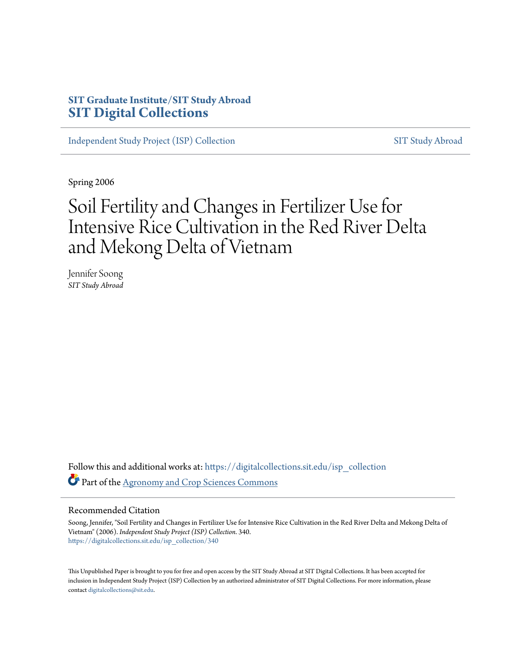# **SIT Graduate Institute/SIT Study Abroad [SIT Digital Collections](https://digitalcollections.sit.edu?utm_source=digitalcollections.sit.edu%2Fisp_collection%2F340&utm_medium=PDF&utm_campaign=PDFCoverPages)**

[Independent Study Project \(ISP\) Collection](https://digitalcollections.sit.edu/isp_collection?utm_source=digitalcollections.sit.edu%2Fisp_collection%2F340&utm_medium=PDF&utm_campaign=PDFCoverPages) [SIT Study Abroad](https://digitalcollections.sit.edu/study_abroad?utm_source=digitalcollections.sit.edu%2Fisp_collection%2F340&utm_medium=PDF&utm_campaign=PDFCoverPages)

Spring 2006

# Soil Fertility and Changes in Fertilizer Use for Intensive Rice Cultivation in the Red River Delta and Mekong Delta of Vietnam

Jennifer Soong *SIT Study Abroad*

Follow this and additional works at: [https://digitalcollections.sit.edu/isp\\_collection](https://digitalcollections.sit.edu/isp_collection?utm_source=digitalcollections.sit.edu%2Fisp_collection%2F340&utm_medium=PDF&utm_campaign=PDFCoverPages) Part of the [Agronomy and Crop Sciences Commons](http://network.bepress.com/hgg/discipline/103?utm_source=digitalcollections.sit.edu%2Fisp_collection%2F340&utm_medium=PDF&utm_campaign=PDFCoverPages)

#### Recommended Citation

Soong, Jennifer, "Soil Fertility and Changes in Fertilizer Use for Intensive Rice Cultivation in the Red River Delta and Mekong Delta of Vietnam" (2006). *Independent Study Project (ISP) Collection*. 340. [https://digitalcollections.sit.edu/isp\\_collection/340](https://digitalcollections.sit.edu/isp_collection/340?utm_source=digitalcollections.sit.edu%2Fisp_collection%2F340&utm_medium=PDF&utm_campaign=PDFCoverPages)

This Unpublished Paper is brought to you for free and open access by the SIT Study Abroad at SIT Digital Collections. It has been accepted for inclusion in Independent Study Project (ISP) Collection by an authorized administrator of SIT Digital Collections. For more information, please contact [digitalcollections@sit.edu](mailto:digitalcollections@sit.edu).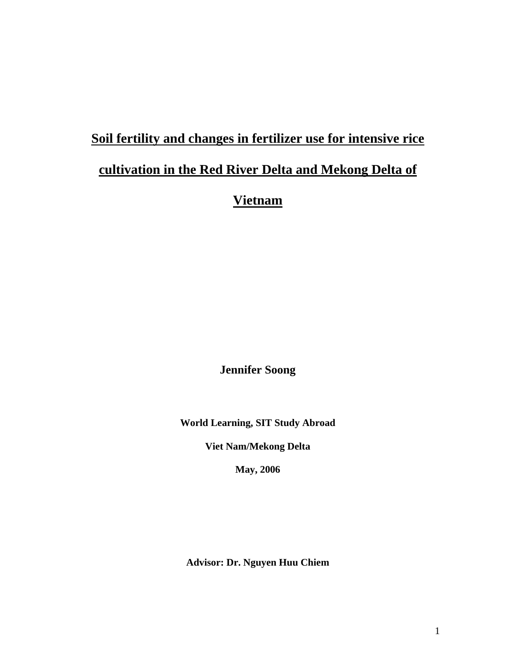# **Soil fertility and changes in fertilizer use for intensive rice cultivation in the Red River Delta and Mekong Delta of**

# **Vietnam**

**Jennifer Soong** 

**World Learning, SIT Study Abroad** 

**Viet Nam/Mekong Delta** 

**May, 2006** 

**Advisor: Dr. Nguyen Huu Chiem**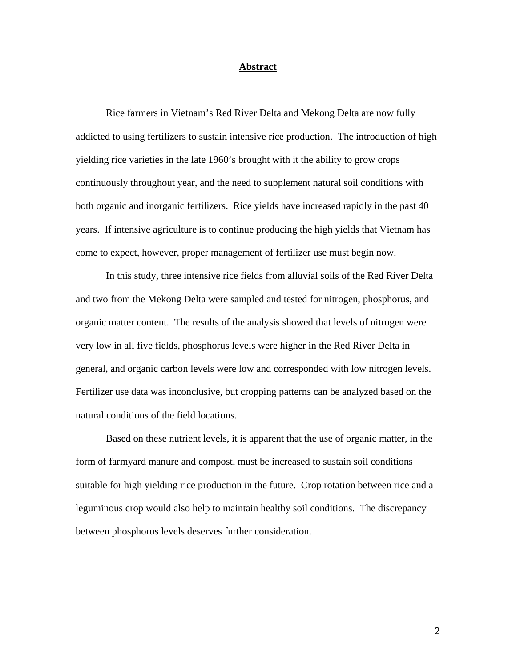#### **Abstract**

 Rice farmers in Vietnam's Red River Delta and Mekong Delta are now fully addicted to using fertilizers to sustain intensive rice production. The introduction of high yielding rice varieties in the late 1960's brought with it the ability to grow crops continuously throughout year, and the need to supplement natural soil conditions with both organic and inorganic fertilizers. Rice yields have increased rapidly in the past 40 years. If intensive agriculture is to continue producing the high yields that Vietnam has come to expect, however, proper management of fertilizer use must begin now.

 In this study, three intensive rice fields from alluvial soils of the Red River Delta and two from the Mekong Delta were sampled and tested for nitrogen, phosphorus, and organic matter content. The results of the analysis showed that levels of nitrogen were very low in all five fields, phosphorus levels were higher in the Red River Delta in general, and organic carbon levels were low and corresponded with low nitrogen levels. Fertilizer use data was inconclusive, but cropping patterns can be analyzed based on the natural conditions of the field locations.

 Based on these nutrient levels, it is apparent that the use of organic matter, in the form of farmyard manure and compost, must be increased to sustain soil conditions suitable for high yielding rice production in the future. Crop rotation between rice and a leguminous crop would also help to maintain healthy soil conditions. The discrepancy between phosphorus levels deserves further consideration.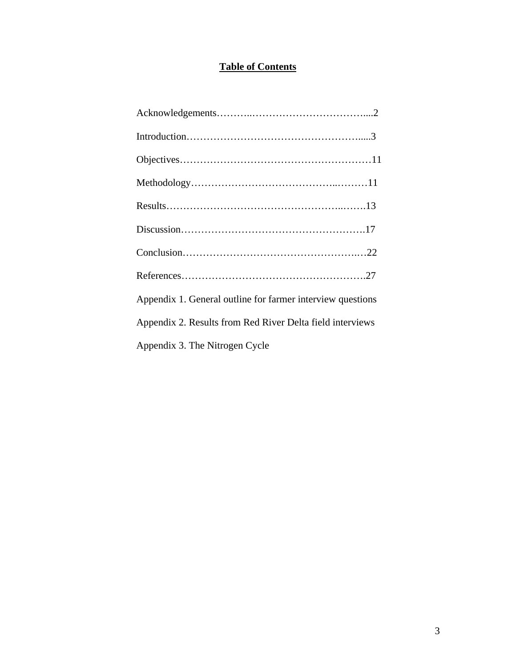# **Table of Contents**

| Appendix 1. General outline for farmer interview questions |
|------------------------------------------------------------|
| Appendix 2. Results from Red River Delta field interviews  |
| Appendix 3. The Nitrogen Cycle                             |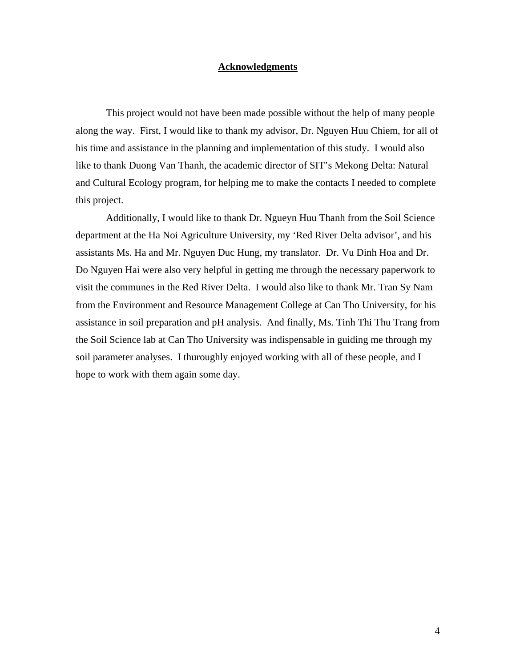#### **Acknowledgments**

 This project would not have been made possible without the help of many people along the way. First, I would like to thank my advisor, Dr. Nguyen Huu Chiem, for all of his time and assistance in the planning and implementation of this study. I would also like to thank Duong Van Thanh, the academic director of SIT's Mekong Delta: Natural and Cultural Ecology program, for helping me to make the contacts I needed to complete this project.

Additionally, I would like to thank Dr. Ngueyn Huu Thanh from the Soil Science department at the Ha Noi Agriculture University, my 'Red River Delta advisor', and his assistants Ms. Ha and Mr. Nguyen Duc Hung, my translator. Dr. Vu Dinh Hoa and Dr. Do Nguyen Hai were also very helpful in getting me through the necessary paperwork to visit the communes in the Red River Delta. I would also like to thank Mr. Tran Sy Nam from the Environment and Resource Management College at Can Tho University, for his assistance in soil preparation and pH analysis. And finally, Ms. Tinh Thi Thu Trang from the Soil Science lab at Can Tho University was indispensable in guiding me through my soil parameter analyses. I thuroughly enjoyed working with all of these people, and I hope to work with them again some day.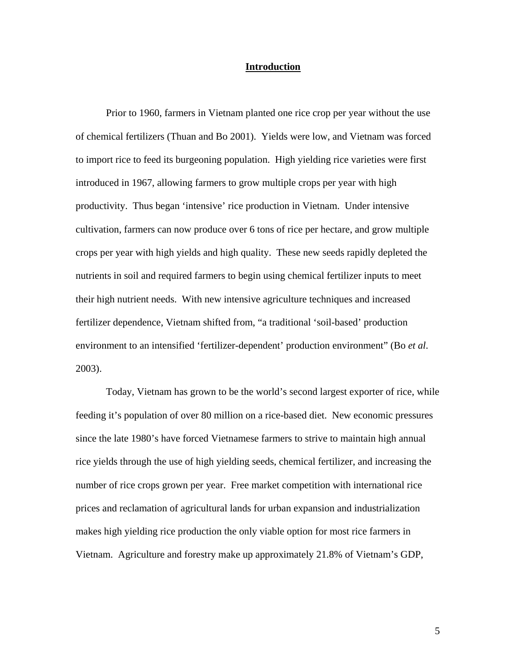#### **Introduction**

 Prior to 1960, farmers in Vietnam planted one rice crop per year without the use of chemical fertilizers (Thuan and Bo 2001). Yields were low, and Vietnam was forced to import rice to feed its burgeoning population. High yielding rice varieties were first introduced in 1967, allowing farmers to grow multiple crops per year with high productivity. Thus began 'intensive' rice production in Vietnam. Under intensive cultivation, farmers can now produce over 6 tons of rice per hectare, and grow multiple crops per year with high yields and high quality. These new seeds rapidly depleted the nutrients in soil and required farmers to begin using chemical fertilizer inputs to meet their high nutrient needs. With new intensive agriculture techniques and increased fertilizer dependence, Vietnam shifted from, "a traditional 'soil-based' production environment to an intensified 'fertilizer-dependent' production environment" (Bo *et al*. 2003).

 Today, Vietnam has grown to be the world's second largest exporter of rice, while feeding it's population of over 80 million on a rice-based diet. New economic pressures since the late 1980's have forced Vietnamese farmers to strive to maintain high annual rice yields through the use of high yielding seeds, chemical fertilizer, and increasing the number of rice crops grown per year. Free market competition with international rice prices and reclamation of agricultural lands for urban expansion and industrialization makes high yielding rice production the only viable option for most rice farmers in Vietnam. Agriculture and forestry make up approximately 21.8% of Vietnam's GDP,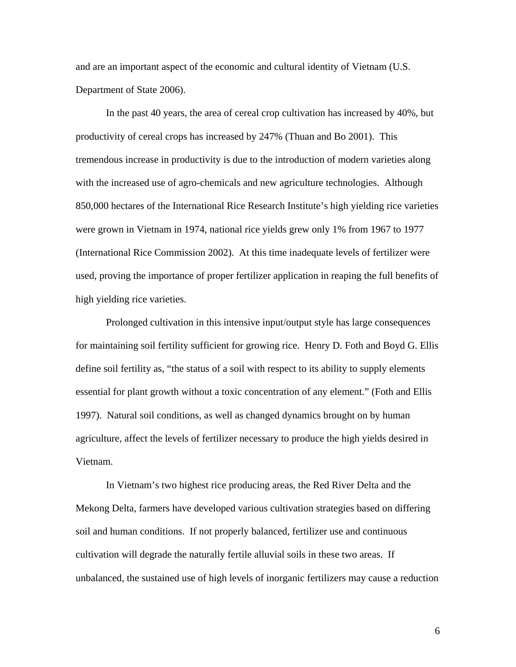and are an important aspect of the economic and cultural identity of Vietnam (U.S. Department of State 2006).

In the past 40 years, the area of cereal crop cultivation has increased by 40%, but productivity of cereal crops has increased by 247% (Thuan and Bo 2001). This tremendous increase in productivity is due to the introduction of modern varieties along with the increased use of agro-chemicals and new agriculture technologies. Although 850,000 hectares of the International Rice Research Institute's high yielding rice varieties were grown in Vietnam in 1974, national rice yields grew only 1% from 1967 to 1977 (International Rice Commission 2002). At this time inadequate levels of fertilizer were used, proving the importance of proper fertilizer application in reaping the full benefits of high yielding rice varieties.

 Prolonged cultivation in this intensive input/output style has large consequences for maintaining soil fertility sufficient for growing rice. Henry D. Foth and Boyd G. Ellis define soil fertility as, "the status of a soil with respect to its ability to supply elements essential for plant growth without a toxic concentration of any element." (Foth and Ellis 1997). Natural soil conditions, as well as changed dynamics brought on by human agriculture, affect the levels of fertilizer necessary to produce the high yields desired in Vietnam.

 In Vietnam's two highest rice producing areas, the Red River Delta and the Mekong Delta, farmers have developed various cultivation strategies based on differing soil and human conditions. If not properly balanced, fertilizer use and continuous cultivation will degrade the naturally fertile alluvial soils in these two areas. If unbalanced, the sustained use of high levels of inorganic fertilizers may cause a reduction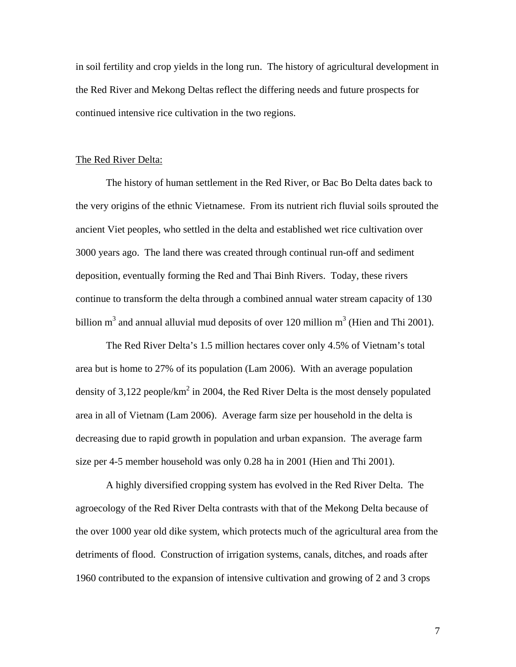in soil fertility and crop yields in the long run. The history of agricultural development in the Red River and Mekong Deltas reflect the differing needs and future prospects for continued intensive rice cultivation in the two regions.

#### The Red River Delta:

 The history of human settlement in the Red River, or Bac Bo Delta dates back to the very origins of the ethnic Vietnamese. From its nutrient rich fluvial soils sprouted the ancient Viet peoples, who settled in the delta and established wet rice cultivation over 3000 years ago. The land there was created through continual run-off and sediment deposition, eventually forming the Red and Thai Binh Rivers. Today, these rivers continue to transform the delta through a combined annual water stream capacity of 130 billion m<sup>3</sup> and annual alluvial mud deposits of over 120 million m<sup>3</sup> (Hien and Thi 2001).

 The Red River Delta's 1.5 million hectares cover only 4.5% of Vietnam's total area but is home to 27% of its population (Lam 2006). With an average population density of 3,122 people/ $km^2$  in 2004, the Red River Delta is the most densely populated area in all of Vietnam (Lam 2006). Average farm size per household in the delta is decreasing due to rapid growth in population and urban expansion. The average farm size per 4-5 member household was only 0.28 ha in 2001 (Hien and Thi 2001).

 A highly diversified cropping system has evolved in the Red River Delta. The agroecology of the Red River Delta contrasts with that of the Mekong Delta because of the over 1000 year old dike system, which protects much of the agricultural area from the detriments of flood. Construction of irrigation systems, canals, ditches, and roads after 1960 contributed to the expansion of intensive cultivation and growing of 2 and 3 crops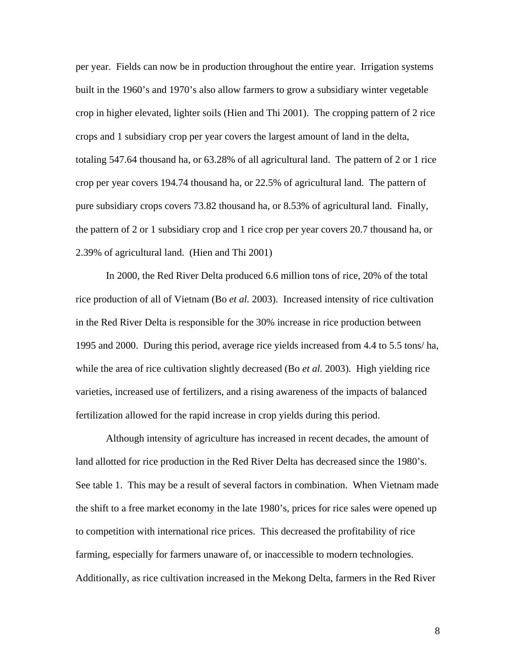per year. Fields can now be in production throughout the entire year. Irrigation systems built in the 1960's and 1970's also allow farmers to grow a subsidiary winter vegetable crop in higher elevated, lighter soils (Hien and Thi 2001). The cropping pattern of 2 rice crops and 1 subsidiary crop per year covers the largest amount of land in the delta, totaling 547.64 thousand ha, or 63.28% of all agricultural land. The pattern of 2 or 1 rice crop per year covers 194.74 thousand ha, or 22.5% of agricultural land. The pattern of pure subsidiary crops covers 73.82 thousand ha, or 8.53% of agricultural land. Finally, the pattern of 2 or 1 subsidiary crop and 1 rice crop per year covers 20.7 thousand ha, or 2.39% of agricultural land. (Hien and Thi 2001)

 In 2000, the Red River Delta produced 6.6 million tons of rice, 20% of the total rice production of all of Vietnam (Bo *et al.* 2003). Increased intensity of rice cultivation in the Red River Delta is responsible for the 30% increase in rice production between 1995 and 2000. During this period, average rice yields increased from 4.4 to 5.5 tons/ ha, while the area of rice cultivation slightly decreased (Bo *et al.* 2003). High yielding rice varieties, increased use of fertilizers, and a rising awareness of the impacts of balanced fertilization allowed for the rapid increase in crop yields during this period.

 Although intensity of agriculture has increased in recent decades, the amount of land allotted for rice production in the Red River Delta has decreased since the 1980's. See table 1. This may be a result of several factors in combination. When Vietnam made the shift to a free market economy in the late 1980's, prices for rice sales were opened up to competition with international rice prices. This decreased the profitability of rice farming, especially for farmers unaware of, or inaccessible to modern technologies. Additionally, as rice cultivation increased in the Mekong Delta, farmers in the Red River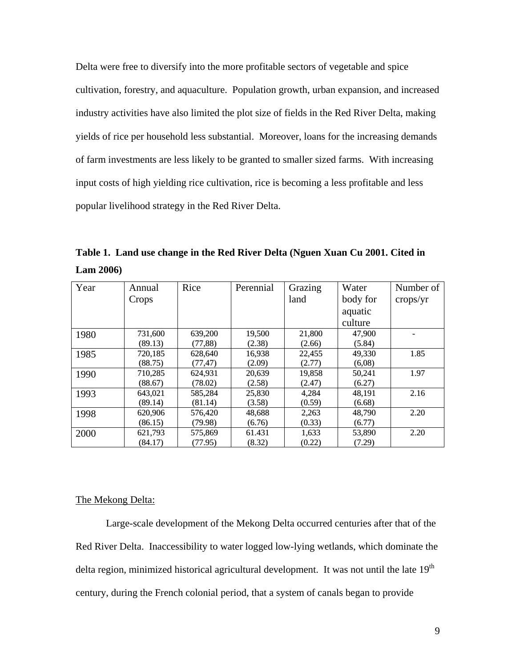Delta were free to diversify into the more profitable sectors of vegetable and spice cultivation, forestry, and aquaculture. Population growth, urban expansion, and increased industry activities have also limited the plot size of fields in the Red River Delta, making yields of rice per household less substantial. Moreover, loans for the increasing demands of farm investments are less likely to be granted to smaller sized farms. With increasing input costs of high yielding rice cultivation, rice is becoming a less profitable and less popular livelihood strategy in the Red River Delta.

**Table 1. Land use change in the Red River Delta (Nguen Xuan Cu 2001. Cited in Lam 2006)** 

| Year | Annual  | Rice     | Perennial | Grazing | Water    | Number of |
|------|---------|----------|-----------|---------|----------|-----------|
|      | Crops   |          |           | land    | body for | crops/yr  |
|      |         |          |           |         | aquatic  |           |
|      |         |          |           |         | culture  |           |
| 1980 | 731,600 | 639,200  | 19,500    | 21,800  | 47,900   |           |
|      | (89.13) | (77,88)  | (2.38)    | (2.66)  | (5.84)   |           |
| 1985 | 720,185 | 628,640  | 16,938    | 22,455  | 49,330   | 1.85      |
|      | (88.75) | (77, 47) | (2.09)    | (2.77)  | (6,08)   |           |
| 1990 | 710,285 | 624,931  | 20,639    | 19,858  | 50,241   | 1.97      |
|      | (88.67) | (78.02)  | (2.58)    | (2.47)  | (6.27)   |           |
| 1993 | 643,021 | 585,284  | 25,830    | 4,284   | 48,191   | 2.16      |
|      | (89.14) | (81.14)  | (3.58)    | (0.59)  | (6.68)   |           |
| 1998 | 620,906 | 576,420  | 48,688    | 2,263   | 48,790   | 2.20      |
|      | (86.15) | (79.98)  | (6.76)    | (0.33)  | (6.77)   |           |
| 2000 | 621,793 | 575,869  | 61.431    | 1,633   | 53,890   | 2.20      |
|      | (84.17) | (77.95)  | (8.32)    | (0.22)  | (7.29)   |           |

#### The Mekong Delta:

 Large-scale development of the Mekong Delta occurred centuries after that of the Red River Delta. Inaccessibility to water logged low-lying wetlands, which dominate the delta region, minimized historical agricultural development. It was not until the late 19<sup>th</sup> century, during the French colonial period, that a system of canals began to provide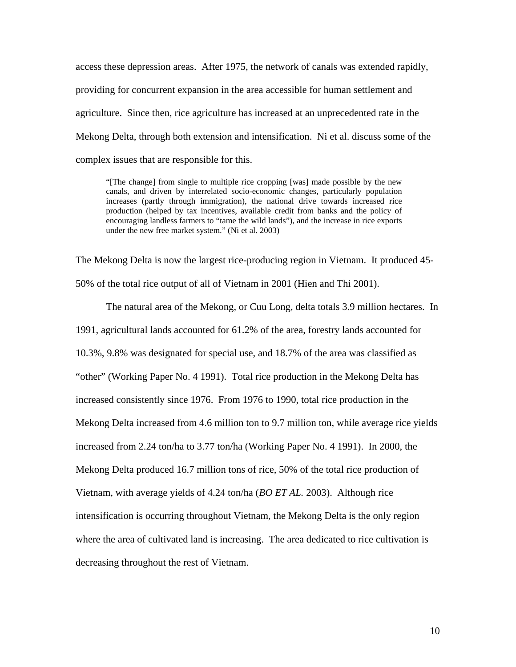access these depression areas. After 1975, the network of canals was extended rapidly, providing for concurrent expansion in the area accessible for human settlement and agriculture. Since then, rice agriculture has increased at an unprecedented rate in the Mekong Delta, through both extension and intensification. Ni et al. discuss some of the complex issues that are responsible for this.

"[The change] from single to multiple rice cropping [was] made possible by the new canals, and driven by interrelated socio-economic changes, particularly population increases (partly through immigration), the national drive towards increased rice production (helped by tax incentives, available credit from banks and the policy of encouraging landless farmers to "tame the wild lands"), and the increase in rice exports under the new free market system." (Ni et al. 2003)

The Mekong Delta is now the largest rice-producing region in Vietnam. It produced 45- 50% of the total rice output of all of Vietnam in 2001 (Hien and Thi 2001).

 The natural area of the Mekong, or Cuu Long, delta totals 3.9 million hectares. In 1991, agricultural lands accounted for 61.2% of the area, forestry lands accounted for 10.3%, 9.8% was designated for special use, and 18.7% of the area was classified as "other" (Working Paper No. 4 1991). Total rice production in the Mekong Delta has increased consistently since 1976. From 1976 to 1990, total rice production in the Mekong Delta increased from 4.6 million ton to 9.7 million ton, while average rice yields increased from 2.24 ton/ha to 3.77 ton/ha (Working Paper No. 4 1991). In 2000, the Mekong Delta produced 16.7 million tons of rice, 50% of the total rice production of Vietnam, with average yields of 4.24 ton/ha (*BO ET AL.* 2003). Although rice intensification is occurring throughout Vietnam, the Mekong Delta is the only region where the area of cultivated land is increasing. The area dedicated to rice cultivation is decreasing throughout the rest of Vietnam.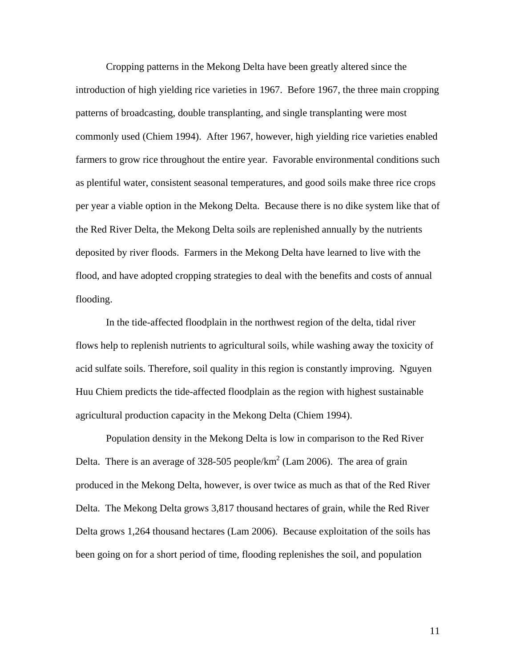Cropping patterns in the Mekong Delta have been greatly altered since the introduction of high yielding rice varieties in 1967. Before 1967, the three main cropping patterns of broadcasting, double transplanting, and single transplanting were most commonly used (Chiem 1994). After 1967, however, high yielding rice varieties enabled farmers to grow rice throughout the entire year. Favorable environmental conditions such as plentiful water, consistent seasonal temperatures, and good soils make three rice crops per year a viable option in the Mekong Delta. Because there is no dike system like that of the Red River Delta, the Mekong Delta soils are replenished annually by the nutrients deposited by river floods. Farmers in the Mekong Delta have learned to live with the flood, and have adopted cropping strategies to deal with the benefits and costs of annual flooding.

In the tide-affected floodplain in the northwest region of the delta, tidal river flows help to replenish nutrients to agricultural soils, while washing away the toxicity of acid sulfate soils. Therefore, soil quality in this region is constantly improving. Nguyen Huu Chiem predicts the tide-affected floodplain as the region with highest sustainable agricultural production capacity in the Mekong Delta (Chiem 1994).

Population density in the Mekong Delta is low in comparison to the Red River Delta. There is an average of 328-505 people/ $km^2$  (Lam 2006). The area of grain produced in the Mekong Delta, however, is over twice as much as that of the Red River Delta. The Mekong Delta grows 3,817 thousand hectares of grain, while the Red River Delta grows 1,264 thousand hectares (Lam 2006). Because exploitation of the soils has been going on for a short period of time, flooding replenishes the soil, and population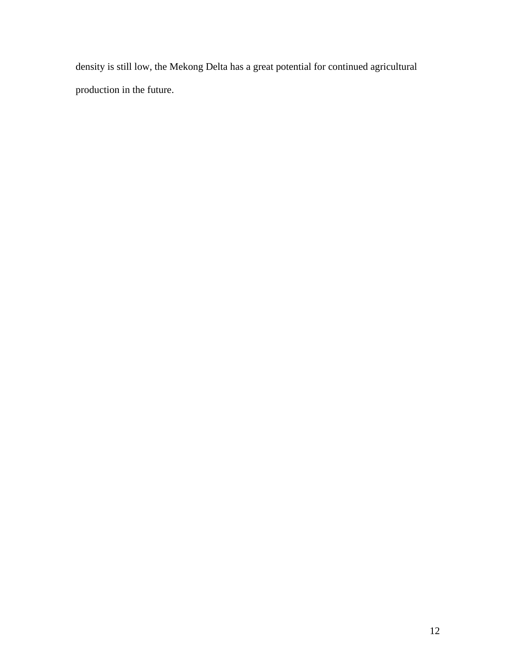density is still low, the Mekong Delta has a great potential for continued agricultural production in the future.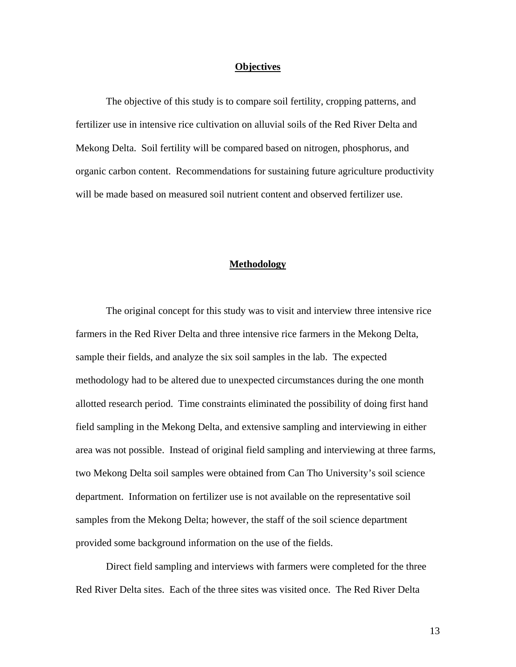#### **Objectives**

 The objective of this study is to compare soil fertility, cropping patterns, and fertilizer use in intensive rice cultivation on alluvial soils of the Red River Delta and Mekong Delta. Soil fertility will be compared based on nitrogen, phosphorus, and organic carbon content. Recommendations for sustaining future agriculture productivity will be made based on measured soil nutrient content and observed fertilizer use.

#### **Methodology**

 The original concept for this study was to visit and interview three intensive rice farmers in the Red River Delta and three intensive rice farmers in the Mekong Delta, sample their fields, and analyze the six soil samples in the lab. The expected methodology had to be altered due to unexpected circumstances during the one month allotted research period. Time constraints eliminated the possibility of doing first hand field sampling in the Mekong Delta, and extensive sampling and interviewing in either area was not possible. Instead of original field sampling and interviewing at three farms, two Mekong Delta soil samples were obtained from Can Tho University's soil science department. Information on fertilizer use is not available on the representative soil samples from the Mekong Delta; however, the staff of the soil science department provided some background information on the use of the fields.

Direct field sampling and interviews with farmers were completed for the three Red River Delta sites. Each of the three sites was visited once. The Red River Delta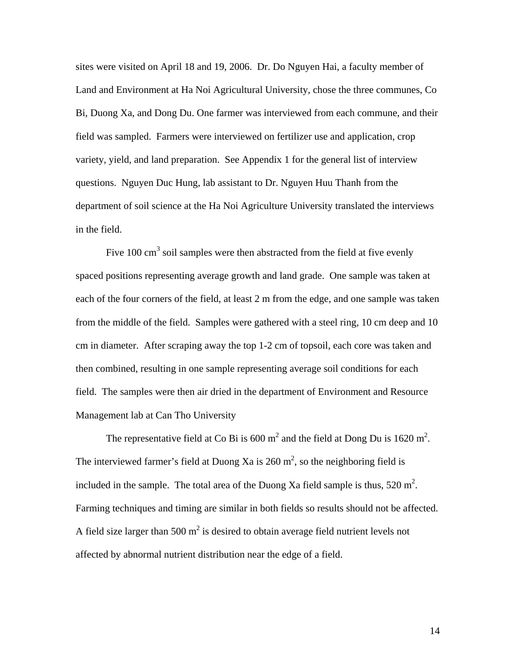sites were visited on April 18 and 19, 2006. Dr. Do Nguyen Hai, a faculty member of Land and Environment at Ha Noi Agricultural University, chose the three communes, Co Bi, Duong Xa, and Dong Du. One farmer was interviewed from each commune, and their field was sampled. Farmers were interviewed on fertilizer use and application, crop variety, yield, and land preparation. See Appendix 1 for the general list of interview questions. Nguyen Duc Hung, lab assistant to Dr. Nguyen Huu Thanh from the department of soil science at the Ha Noi Agriculture University translated the interviews in the field.

Five  $100 \text{ cm}^3$  soil samples were then abstracted from the field at five evenly spaced positions representing average growth and land grade. One sample was taken at each of the four corners of the field, at least 2 m from the edge, and one sample was taken from the middle of the field. Samples were gathered with a steel ring, 10 cm deep and 10 cm in diameter. After scraping away the top 1-2 cm of topsoil, each core was taken and then combined, resulting in one sample representing average soil conditions for each field. The samples were then air dried in the department of Environment and Resource Management lab at Can Tho University

The representative field at Co Bi is 600 m<sup>2</sup> and the field at Dong Du is 1620 m<sup>2</sup>. The interviewed farmer's field at Duong Xa is 260  $m^2$ , so the neighboring field is included in the sample. The total area of the Duong Xa field sample is thus,  $520 \text{ m}^2$ . Farming techniques and timing are similar in both fields so results should not be affected. A field size larger than 500  $m^2$  is desired to obtain average field nutrient levels not affected by abnormal nutrient distribution near the edge of a field.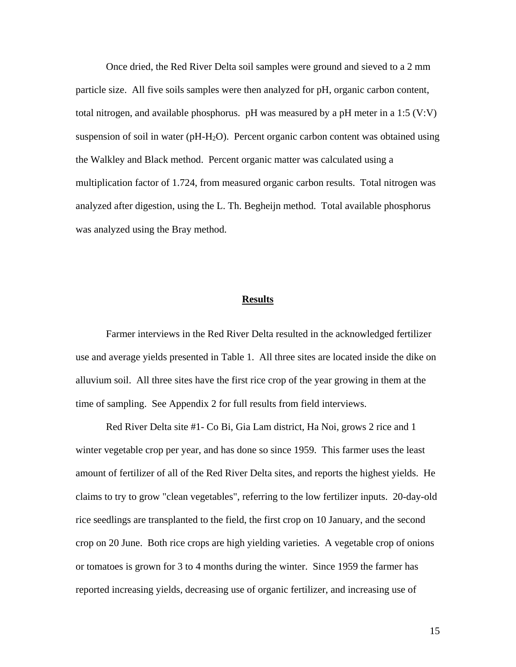Once dried, the Red River Delta soil samples were ground and sieved to a 2 mm particle size. All five soils samples were then analyzed for pH, organic carbon content, total nitrogen, and available phosphorus. pH was measured by a pH meter in a 1:5 (V:V) suspension of soil in water  $(pH-H<sub>2</sub>O)$ . Percent organic carbon content was obtained using the Walkley and Black method. Percent organic matter was calculated using a multiplication factor of 1.724, from measured organic carbon results. Total nitrogen was analyzed after digestion, using the L. Th. Begheijn method. Total available phosphorus was analyzed using the Bray method.

#### **Results**

 Farmer interviews in the Red River Delta resulted in the acknowledged fertilizer use and average yields presented in Table 1. All three sites are located inside the dike on alluvium soil. All three sites have the first rice crop of the year growing in them at the time of sampling. See Appendix 2 for full results from field interviews.

Red River Delta site #1- Co Bi, Gia Lam district, Ha Noi, grows 2 rice and 1 winter vegetable crop per year, and has done so since 1959. This farmer uses the least amount of fertilizer of all of the Red River Delta sites, and reports the highest yields. He claims to try to grow "clean vegetables", referring to the low fertilizer inputs. 20-day-old rice seedlings are transplanted to the field, the first crop on 10 January, and the second crop on 20 June. Both rice crops are high yielding varieties. A vegetable crop of onions or tomatoes is grown for 3 to 4 months during the winter. Since 1959 the farmer has reported increasing yields, decreasing use of organic fertilizer, and increasing use of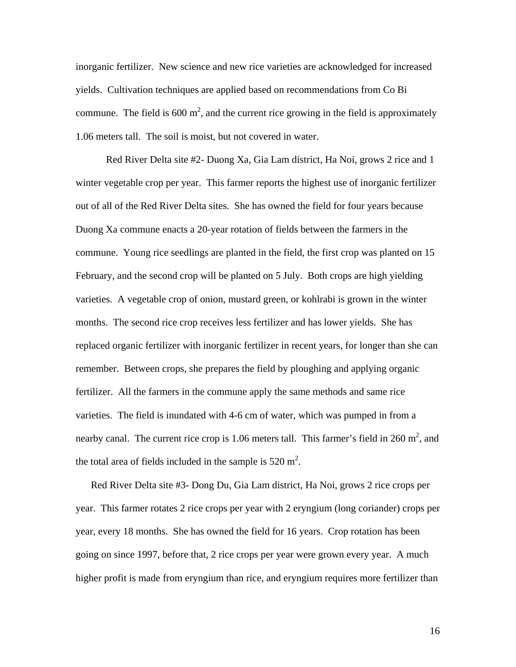inorganic fertilizer. New science and new rice varieties are acknowledged for increased yields. Cultivation techniques are applied based on recommendations from Co Bi commune. The field is 600  $m^2$ , and the current rice growing in the field is approximately 1.06 meters tall. The soil is moist, but not covered in water.

Red River Delta site #2- Duong Xa, Gia Lam district, Ha Noi, grows 2 rice and 1 winter vegetable crop per year. This farmer reports the highest use of inorganic fertilizer out of all of the Red River Delta sites. She has owned the field for four years because Duong Xa commune enacts a 20-year rotation of fields between the farmers in the commune. Young rice seedlings are planted in the field, the first crop was planted on 15 February, and the second crop will be planted on 5 July. Both crops are high yielding varieties. A vegetable crop of onion, mustard green, or kohlrabi is grown in the winter months. The second rice crop receives less fertilizer and has lower yields. She has replaced organic fertilizer with inorganic fertilizer in recent years, for longer than she can remember. Between crops, she prepares the field by ploughing and applying organic fertilizer. All the farmers in the commune apply the same methods and same rice varieties. The field is inundated with 4-6 cm of water, which was pumped in from a nearby canal. The current rice crop is 1.06 meters tall. This farmer's field in 260  $m^2$ , and the total area of fields included in the sample is  $520 \text{ m}^2$ .

Red River Delta site #3- Dong Du, Gia Lam district, Ha Noi, grows 2 rice crops per year. This farmer rotates 2 rice crops per year with 2 eryngium (long coriander) crops per year, every 18 months. She has owned the field for 16 years. Crop rotation has been going on since 1997, before that, 2 rice crops per year were grown every year. A much higher profit is made from eryngium than rice, and eryngium requires more fertilizer than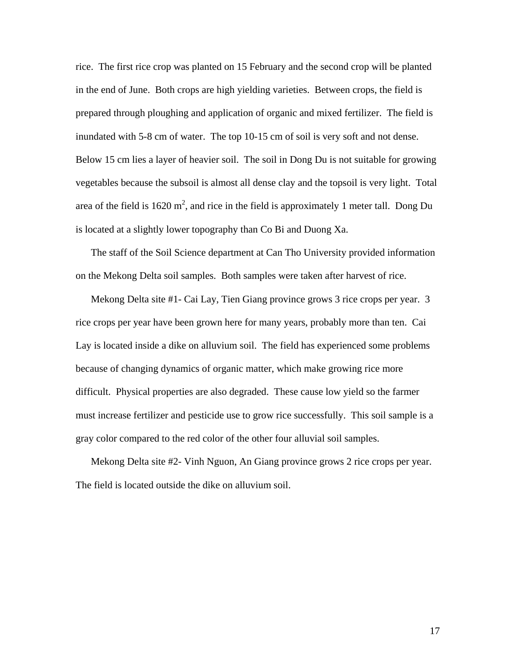rice. The first rice crop was planted on 15 February and the second crop will be planted in the end of June. Both crops are high yielding varieties. Between crops, the field is prepared through ploughing and application of organic and mixed fertilizer. The field is inundated with 5-8 cm of water. The top 10-15 cm of soil is very soft and not dense. Below 15 cm lies a layer of heavier soil. The soil in Dong Du is not suitable for growing vegetables because the subsoil is almost all dense clay and the topsoil is very light. Total area of the field is 1620 m<sup>2</sup>, and rice in the field is approximately 1 meter tall. Dong Du is located at a slightly lower topography than Co Bi and Duong Xa.

The staff of the Soil Science department at Can Tho University provided information on the Mekong Delta soil samples. Both samples were taken after harvest of rice.

Mekong Delta site #1- Cai Lay, Tien Giang province grows 3 rice crops per year. 3 rice crops per year have been grown here for many years, probably more than ten. Cai Lay is located inside a dike on alluvium soil. The field has experienced some problems because of changing dynamics of organic matter, which make growing rice more difficult. Physical properties are also degraded. These cause low yield so the farmer must increase fertilizer and pesticide use to grow rice successfully. This soil sample is a gray color compared to the red color of the other four alluvial soil samples.

Mekong Delta site #2- Vinh Nguon, An Giang province grows 2 rice crops per year. The field is located outside the dike on alluvium soil.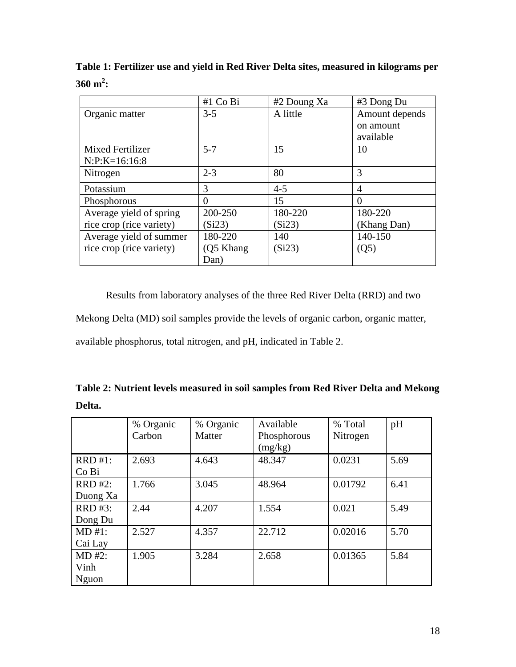**Table 1: Fertilizer use and yield in Red River Delta sites, measured in kilograms per**   $360 \text{ m}^2$ :

|                          | $#1$ Co Bi | #2 Doung Xa | #3 Dong Du     |  |
|--------------------------|------------|-------------|----------------|--|
| Organic matter           | $3 - 5$    | A little    | Amount depends |  |
|                          |            |             | on amount      |  |
|                          |            |             | available      |  |
| <b>Mixed Fertilizer</b>  | $5 - 7$    | 15          | 10             |  |
| $N: P: K=16:16:8$        |            |             |                |  |
| Nitrogen                 | $2 - 3$    | 80          | 3              |  |
| Potassium                | 3          | $4 - 5$     | 4              |  |
| Phosphorous              | 0          | 15          | $\Omega$       |  |
| Average yield of spring  | 200-250    | 180-220     | 180-220        |  |
| rice crop (rice variety) | (Si23)     | (Si23)      | (Khang Dan)    |  |
| Average yield of summer  | 180-220    | 140         | 140-150        |  |
| rice crop (rice variety) | (Q5 Khang  | (Si23)      | (Q5)           |  |
|                          | Dan)       |             |                |  |

 Results from laboratory analyses of the three Red River Delta (RRD) and two Mekong Delta (MD) soil samples provide the levels of organic carbon, organic matter, available phosphorus, total nitrogen, and pH, indicated in Table 2.

**Table 2: Nutrient levels measured in soil samples from Red River Delta and Mekong Delta.** 

|                | % Organic | % Organic | Available   | % Total  | pH   |
|----------------|-----------|-----------|-------------|----------|------|
|                | Carbon    | Matter    | Phosphorous | Nitrogen |      |
|                |           |           | (mg/kg)     |          |      |
| $RRD #1$ :     | 2.693     | 4.643     | 48.347      | 0.0231   | 5.69 |
| Co Bi          |           |           |             |          |      |
| <b>RRD #2:</b> | 1.766     | 3.045     | 48.964      | 0.01792  | 6.41 |
| Duong Xa       |           |           |             |          |      |
| RRD #3:        | 2.44      | 4.207     | 1.554       | 0.021    | 5.49 |
| Dong Du        |           |           |             |          |      |
| MD #1:         | 2.527     | 4.357     | 22.712      | 0.02016  | 5.70 |
| Cai Lay        |           |           |             |          |      |
| $MD #2$ :      | 1.905     | 3.284     | 2.658       | 0.01365  | 5.84 |
| Vinh           |           |           |             |          |      |
| Nguon          |           |           |             |          |      |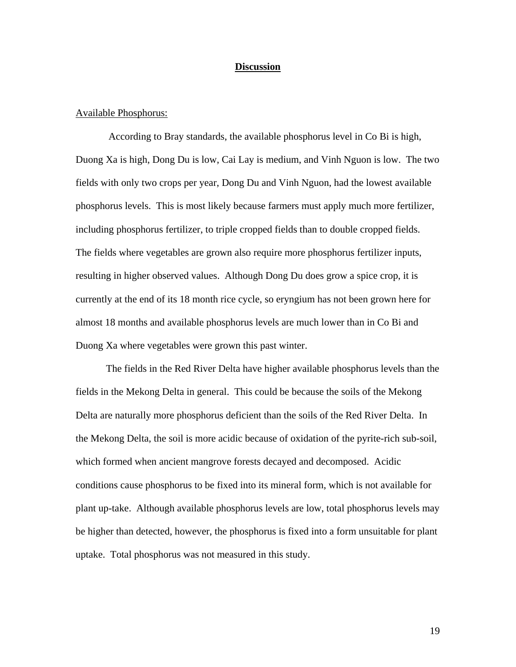#### **Discussion**

#### Available Phosphorus:

 According to Bray standards, the available phosphorus level in Co Bi is high, Duong Xa is high, Dong Du is low, Cai Lay is medium, and Vinh Nguon is low. The two fields with only two crops per year, Dong Du and Vinh Nguon, had the lowest available phosphorus levels. This is most likely because farmers must apply much more fertilizer, including phosphorus fertilizer, to triple cropped fields than to double cropped fields. The fields where vegetables are grown also require more phosphorus fertilizer inputs, resulting in higher observed values. Although Dong Du does grow a spice crop, it is currently at the end of its 18 month rice cycle, so eryngium has not been grown here for almost 18 months and available phosphorus levels are much lower than in Co Bi and Duong Xa where vegetables were grown this past winter.

The fields in the Red River Delta have higher available phosphorus levels than the fields in the Mekong Delta in general. This could be because the soils of the Mekong Delta are naturally more phosphorus deficient than the soils of the Red River Delta. In the Mekong Delta, the soil is more acidic because of oxidation of the pyrite-rich sub-soil, which formed when ancient mangrove forests decayed and decomposed. Acidic conditions cause phosphorus to be fixed into its mineral form, which is not available for plant up-take. Although available phosphorus levels are low, total phosphorus levels may be higher than detected, however, the phosphorus is fixed into a form unsuitable for plant uptake. Total phosphorus was not measured in this study.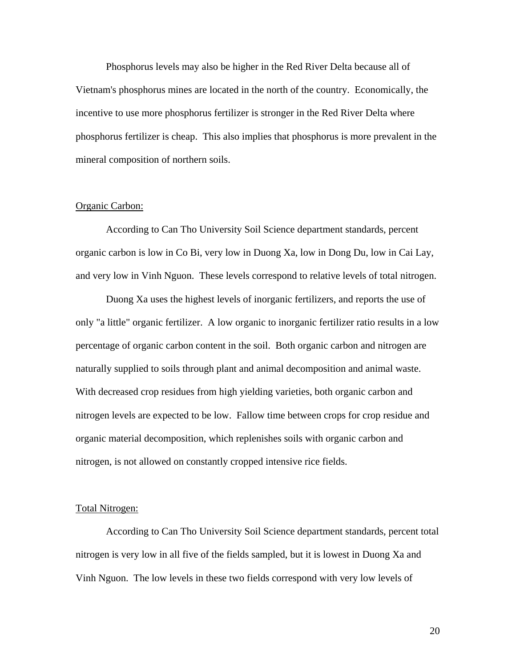Phosphorus levels may also be higher in the Red River Delta because all of Vietnam's phosphorus mines are located in the north of the country. Economically, the incentive to use more phosphorus fertilizer is stronger in the Red River Delta where phosphorus fertilizer is cheap. This also implies that phosphorus is more prevalent in the mineral composition of northern soils.

#### Organic Carbon:

 According to Can Tho University Soil Science department standards, percent organic carbon is low in Co Bi, very low in Duong Xa, low in Dong Du, low in Cai Lay, and very low in Vinh Nguon. These levels correspond to relative levels of total nitrogen.

Duong Xa uses the highest levels of inorganic fertilizers, and reports the use of only "a little" organic fertilizer. A low organic to inorganic fertilizer ratio results in a low percentage of organic carbon content in the soil. Both organic carbon and nitrogen are naturally supplied to soils through plant and animal decomposition and animal waste. With decreased crop residues from high yielding varieties, both organic carbon and nitrogen levels are expected to be low. Fallow time between crops for crop residue and organic material decomposition, which replenishes soils with organic carbon and nitrogen, is not allowed on constantly cropped intensive rice fields.

#### Total Nitrogen:

 According to Can Tho University Soil Science department standards, percent total nitrogen is very low in all five of the fields sampled, but it is lowest in Duong Xa and Vinh Nguon. The low levels in these two fields correspond with very low levels of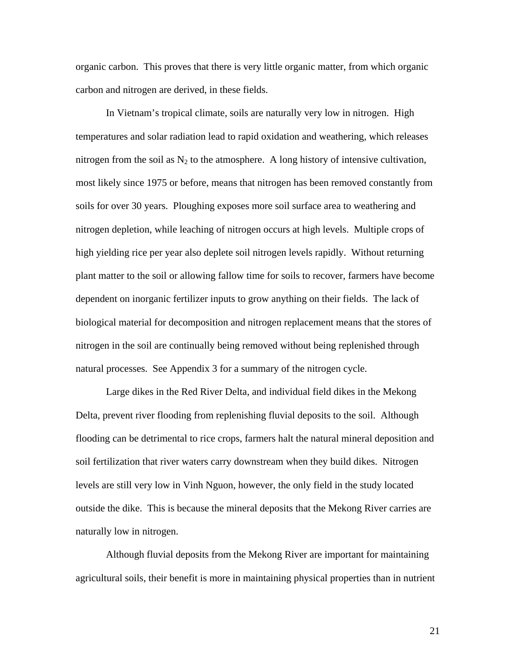organic carbon. This proves that there is very little organic matter, from which organic carbon and nitrogen are derived, in these fields.

 In Vietnam's tropical climate, soils are naturally very low in nitrogen. High temperatures and solar radiation lead to rapid oxidation and weathering, which releases nitrogen from the soil as  $N_2$  to the atmosphere. A long history of intensive cultivation, most likely since 1975 or before, means that nitrogen has been removed constantly from soils for over 30 years. Ploughing exposes more soil surface area to weathering and nitrogen depletion, while leaching of nitrogen occurs at high levels. Multiple crops of high yielding rice per year also deplete soil nitrogen levels rapidly. Without returning plant matter to the soil or allowing fallow time for soils to recover, farmers have become dependent on inorganic fertilizer inputs to grow anything on their fields. The lack of biological material for decomposition and nitrogen replacement means that the stores of nitrogen in the soil are continually being removed without being replenished through natural processes. See Appendix 3 for a summary of the nitrogen cycle.

Large dikes in the Red River Delta, and individual field dikes in the Mekong Delta, prevent river flooding from replenishing fluvial deposits to the soil. Although flooding can be detrimental to rice crops, farmers halt the natural mineral deposition and soil fertilization that river waters carry downstream when they build dikes. Nitrogen levels are still very low in Vinh Nguon, however, the only field in the study located outside the dike. This is because the mineral deposits that the Mekong River carries are naturally low in nitrogen.

Although fluvial deposits from the Mekong River are important for maintaining agricultural soils, their benefit is more in maintaining physical properties than in nutrient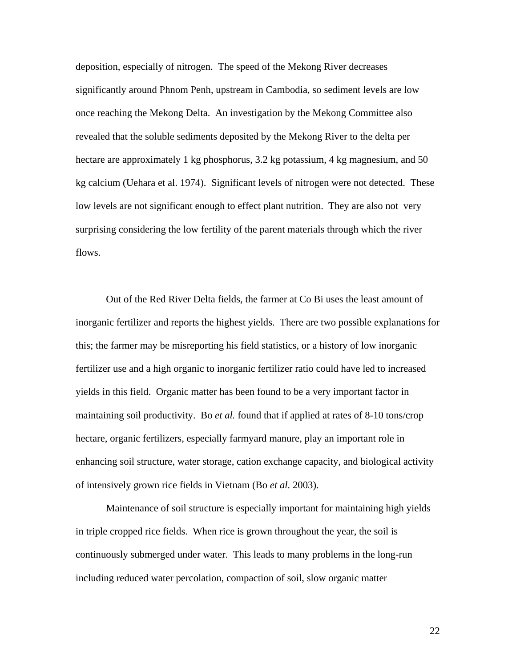deposition, especially of nitrogen. The speed of the Mekong River decreases significantly around Phnom Penh, upstream in Cambodia, so sediment levels are low once reaching the Mekong Delta. An investigation by the Mekong Committee also revealed that the soluble sediments deposited by the Mekong River to the delta per hectare are approximately 1 kg phosphorus, 3.2 kg potassium, 4 kg magnesium, and 50 kg calcium (Uehara et al. 1974). Significant levels of nitrogen were not detected. These low levels are not significant enough to effect plant nutrition. They are also not very surprising considering the low fertility of the parent materials through which the river flows.

Out of the Red River Delta fields, the farmer at Co Bi uses the least amount of inorganic fertilizer and reports the highest yields. There are two possible explanations for this; the farmer may be misreporting his field statistics, or a history of low inorganic fertilizer use and a high organic to inorganic fertilizer ratio could have led to increased yields in this field. Organic matter has been found to be a very important factor in maintaining soil productivity. Bo *et al.* found that if applied at rates of 8-10 tons/crop hectare, organic fertilizers, especially farmyard manure, play an important role in enhancing soil structure, water storage, cation exchange capacity, and biological activity of intensively grown rice fields in Vietnam (Bo *et al.* 2003).

Maintenance of soil structure is especially important for maintaining high yields in triple cropped rice fields. When rice is grown throughout the year, the soil is continuously submerged under water. This leads to many problems in the long-run including reduced water percolation, compaction of soil, slow organic matter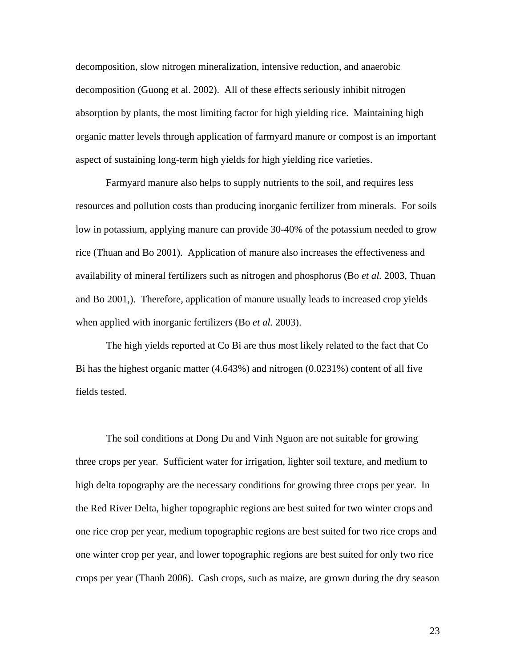decomposition, slow nitrogen mineralization, intensive reduction, and anaerobic decomposition (Guong et al. 2002). All of these effects seriously inhibit nitrogen absorption by plants, the most limiting factor for high yielding rice. Maintaining high organic matter levels through application of farmyard manure or compost is an important aspect of sustaining long-term high yields for high yielding rice varieties.

Farmyard manure also helps to supply nutrients to the soil, and requires less resources and pollution costs than producing inorganic fertilizer from minerals. For soils low in potassium, applying manure can provide 30-40% of the potassium needed to grow rice (Thuan and Bo 2001). Application of manure also increases the effectiveness and availability of mineral fertilizers such as nitrogen and phosphorus (Bo *et al.* 2003, Thuan and Bo 2001,). Therefore, application of manure usually leads to increased crop yields when applied with inorganic fertilizers (Bo *et al.* 2003).

 The high yields reported at Co Bi are thus most likely related to the fact that Co Bi has the highest organic matter (4.643%) and nitrogen (0.0231%) content of all five fields tested.

 The soil conditions at Dong Du and Vinh Nguon are not suitable for growing three crops per year. Sufficient water for irrigation, lighter soil texture, and medium to high delta topography are the necessary conditions for growing three crops per year. In the Red River Delta, higher topographic regions are best suited for two winter crops and one rice crop per year, medium topographic regions are best suited for two rice crops and one winter crop per year, and lower topographic regions are best suited for only two rice crops per year (Thanh 2006). Cash crops, such as maize, are grown during the dry season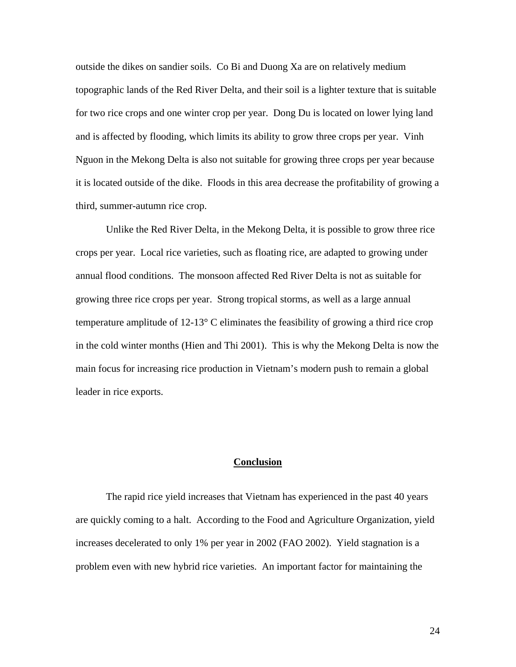outside the dikes on sandier soils. Co Bi and Duong Xa are on relatively medium topographic lands of the Red River Delta, and their soil is a lighter texture that is suitable for two rice crops and one winter crop per year. Dong Du is located on lower lying land and is affected by flooding, which limits its ability to grow three crops per year. Vinh Nguon in the Mekong Delta is also not suitable for growing three crops per year because it is located outside of the dike. Floods in this area decrease the profitability of growing a third, summer-autumn rice crop.

 Unlike the Red River Delta, in the Mekong Delta, it is possible to grow three rice crops per year. Local rice varieties, such as floating rice, are adapted to growing under annual flood conditions. The monsoon affected Red River Delta is not as suitable for growing three rice crops per year. Strong tropical storms, as well as a large annual temperature amplitude of 12-13° C eliminates the feasibility of growing a third rice crop in the cold winter months (Hien and Thi 2001). This is why the Mekong Delta is now the main focus for increasing rice production in Vietnam's modern push to remain a global leader in rice exports.

#### **Conclusion**

 The rapid rice yield increases that Vietnam has experienced in the past 40 years are quickly coming to a halt. According to the Food and Agriculture Organization, yield increases decelerated to only 1% per year in 2002 (FAO 2002). Yield stagnation is a problem even with new hybrid rice varieties. An important factor for maintaining the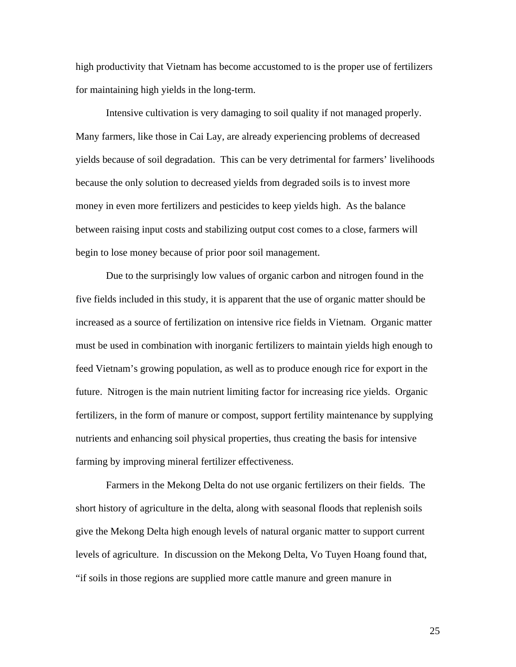high productivity that Vietnam has become accustomed to is the proper use of fertilizers for maintaining high yields in the long-term.

 Intensive cultivation is very damaging to soil quality if not managed properly. Many farmers, like those in Cai Lay, are already experiencing problems of decreased yields because of soil degradation. This can be very detrimental for farmers' livelihoods because the only solution to decreased yields from degraded soils is to invest more money in even more fertilizers and pesticides to keep yields high. As the balance between raising input costs and stabilizing output cost comes to a close, farmers will begin to lose money because of prior poor soil management.

 Due to the surprisingly low values of organic carbon and nitrogen found in the five fields included in this study, it is apparent that the use of organic matter should be increased as a source of fertilization on intensive rice fields in Vietnam. Organic matter must be used in combination with inorganic fertilizers to maintain yields high enough to feed Vietnam's growing population, as well as to produce enough rice for export in the future. Nitrogen is the main nutrient limiting factor for increasing rice yields. Organic fertilizers, in the form of manure or compost, support fertility maintenance by supplying nutrients and enhancing soil physical properties, thus creating the basis for intensive farming by improving mineral fertilizer effectiveness.

 Farmers in the Mekong Delta do not use organic fertilizers on their fields. The short history of agriculture in the delta, along with seasonal floods that replenish soils give the Mekong Delta high enough levels of natural organic matter to support current levels of agriculture. In discussion on the Mekong Delta, Vo Tuyen Hoang found that, "if soils in those regions are supplied more cattle manure and green manure in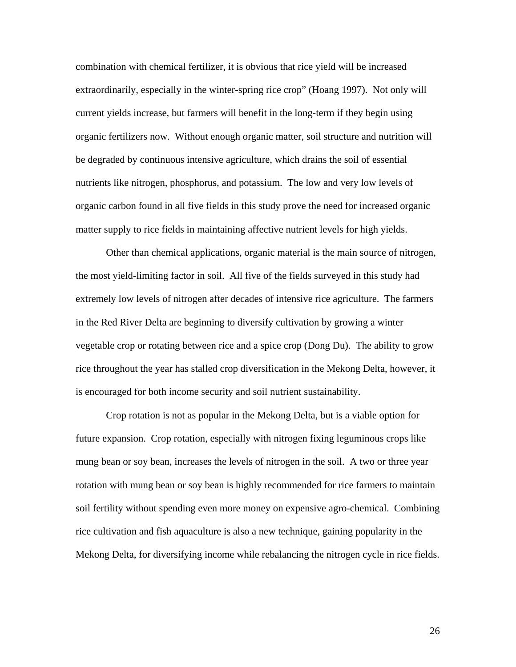combination with chemical fertilizer, it is obvious that rice yield will be increased extraordinarily, especially in the winter-spring rice crop" (Hoang 1997). Not only will current yields increase, but farmers will benefit in the long-term if they begin using organic fertilizers now. Without enough organic matter, soil structure and nutrition will be degraded by continuous intensive agriculture, which drains the soil of essential nutrients like nitrogen, phosphorus, and potassium. The low and very low levels of organic carbon found in all five fields in this study prove the need for increased organic matter supply to rice fields in maintaining affective nutrient levels for high yields.

Other than chemical applications, organic material is the main source of nitrogen, the most yield-limiting factor in soil. All five of the fields surveyed in this study had extremely low levels of nitrogen after decades of intensive rice agriculture. The farmers in the Red River Delta are beginning to diversify cultivation by growing a winter vegetable crop or rotating between rice and a spice crop (Dong Du). The ability to grow rice throughout the year has stalled crop diversification in the Mekong Delta, however, it is encouraged for both income security and soil nutrient sustainability.

Crop rotation is not as popular in the Mekong Delta, but is a viable option for future expansion. Crop rotation, especially with nitrogen fixing leguminous crops like mung bean or soy bean, increases the levels of nitrogen in the soil. A two or three year rotation with mung bean or soy bean is highly recommended for rice farmers to maintain soil fertility without spending even more money on expensive agro-chemical. Combining rice cultivation and fish aquaculture is also a new technique, gaining popularity in the Mekong Delta, for diversifying income while rebalancing the nitrogen cycle in rice fields.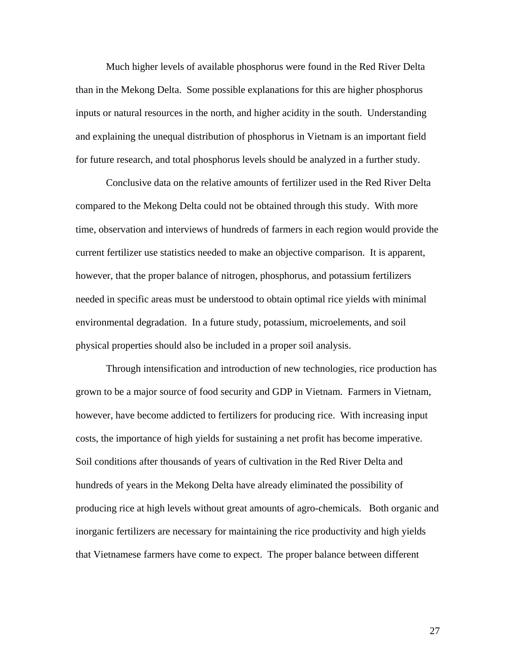Much higher levels of available phosphorus were found in the Red River Delta than in the Mekong Delta. Some possible explanations for this are higher phosphorus inputs or natural resources in the north, and higher acidity in the south. Understanding and explaining the unequal distribution of phosphorus in Vietnam is an important field for future research, and total phosphorus levels should be analyzed in a further study.

 Conclusive data on the relative amounts of fertilizer used in the Red River Delta compared to the Mekong Delta could not be obtained through this study. With more time, observation and interviews of hundreds of farmers in each region would provide the current fertilizer use statistics needed to make an objective comparison. It is apparent, however, that the proper balance of nitrogen, phosphorus, and potassium fertilizers needed in specific areas must be understood to obtain optimal rice yields with minimal environmental degradation. In a future study, potassium, microelements, and soil physical properties should also be included in a proper soil analysis.

Through intensification and introduction of new technologies, rice production has grown to be a major source of food security and GDP in Vietnam. Farmers in Vietnam, however, have become addicted to fertilizers for producing rice. With increasing input costs, the importance of high yields for sustaining a net profit has become imperative. Soil conditions after thousands of years of cultivation in the Red River Delta and hundreds of years in the Mekong Delta have already eliminated the possibility of producing rice at high levels without great amounts of agro-chemicals. Both organic and inorganic fertilizers are necessary for maintaining the rice productivity and high yields that Vietnamese farmers have come to expect. The proper balance between different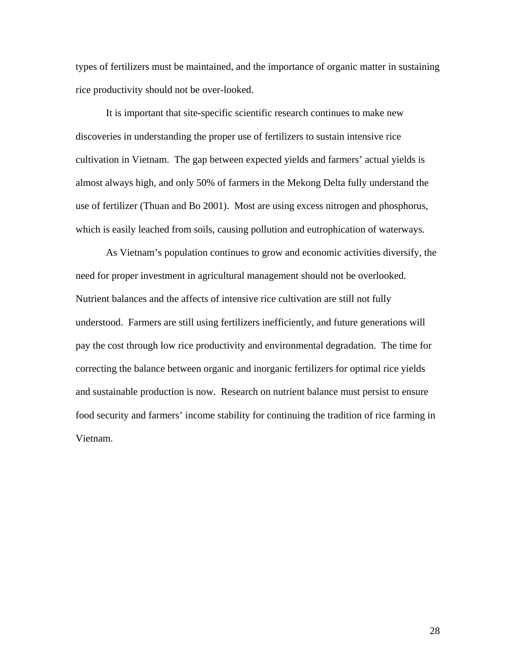types of fertilizers must be maintained, and the importance of organic matter in sustaining rice productivity should not be over-looked.

It is important that site-specific scientific research continues to make new discoveries in understanding the proper use of fertilizers to sustain intensive rice cultivation in Vietnam. The gap between expected yields and farmers' actual yields is almost always high, and only 50% of farmers in the Mekong Delta fully understand the use of fertilizer (Thuan and Bo 2001). Most are using excess nitrogen and phosphorus, which is easily leached from soils, causing pollution and eutrophication of waterways.

As Vietnam's population continues to grow and economic activities diversify, the need for proper investment in agricultural management should not be overlooked. Nutrient balances and the affects of intensive rice cultivation are still not fully understood. Farmers are still using fertilizers inefficiently, and future generations will pay the cost through low rice productivity and environmental degradation. The time for correcting the balance between organic and inorganic fertilizers for optimal rice yields and sustainable production is now. Research on nutrient balance must persist to ensure food security and farmers' income stability for continuing the tradition of rice farming in Vietnam.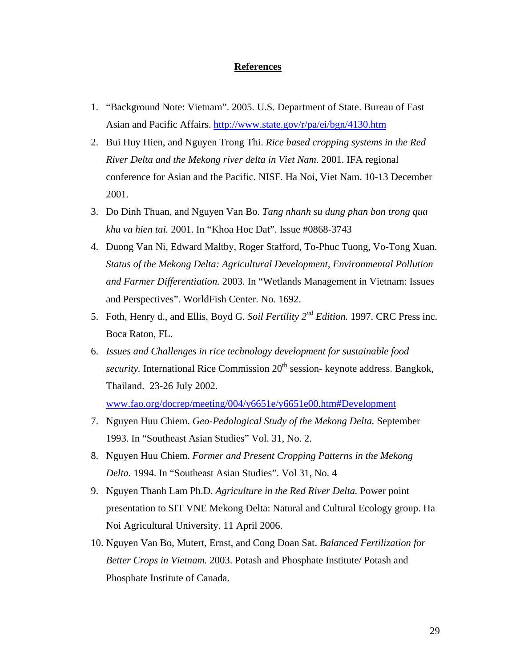#### **References**

- 1. "Background Note: Vietnam". 2005. U.S. Department of State. Bureau of East Asian and Pacific Affairs. <http://www.state.gov/r/pa/ei/bgn/4130.htm>
- 2. Bui Huy Hien, and Nguyen Trong Thi. *Rice based cropping systems in the Red River Delta and the Mekong river delta in Viet Nam.* 2001. IFA regional conference for Asian and the Pacific. NISF. Ha Noi, Viet Nam. 10-13 December 2001.
- 3. Do Dinh Thuan, and Nguyen Van Bo. *Tang nhanh su dung phan bon trong qua khu va hien tai.* 2001. In "Khoa Hoc Dat". Issue #0868-3743
- 4. Duong Van Ni, Edward Maltby, Roger Stafford, To-Phuc Tuong, Vo-Tong Xuan. *Status of the Mekong Delta: Agricultural Development, Environmental Pollution and Farmer Differentiation.* 2003. In "Wetlands Management in Vietnam: Issues and Perspectives". WorldFish Center. No. 1692.
- 5. Foth, Henry d., and Ellis, Boyd G. *Soil Fertility 2nd Edition.* 1997. CRC Press inc. Boca Raton, FL.
- 6. *Issues and Challenges in rice technology development for sustainable food security.* International Rice Commission 20<sup>th</sup> session- keynote address. Bangkok, Thailand. 23-26 July 2002.

[www.fao.org/docrep/meeting/004/y6651e/y6651e00.htm#Development](http://www.fao.org/docrep/meeting/004/y6651e/y6651e00.htm#Development)

- 7. Nguyen Huu Chiem. *Geo-Pedological Study of the Mekong Delta.* September 1993. In "Southeast Asian Studies" Vol. 31, No. 2.
- 8. Nguyen Huu Chiem. *Former and Present Cropping Patterns in the Mekong Delta.* 1994. In "Southeast Asian Studies". Vol 31, No. 4
- 9. Nguyen Thanh Lam Ph.D. *Agriculture in the Red River Delta.* Power point presentation to SIT VNE Mekong Delta: Natural and Cultural Ecology group. Ha Noi Agricultural University. 11 April 2006.
- 10. Nguyen Van Bo, Mutert, Ernst, and Cong Doan Sat. *Balanced Fertilization for Better Crops in Vietnam.* 2003. Potash and Phosphate Institute/ Potash and Phosphate Institute of Canada.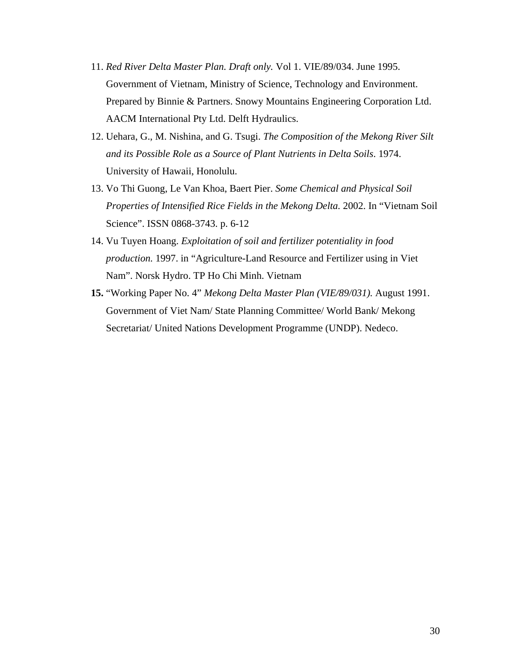- 11. *Red River Delta Master Plan. Draft only.* Vol 1. VIE/89/034. June 1995. Government of Vietnam, Ministry of Science, Technology and Environment. Prepared by Binnie & Partners. Snowy Mountains Engineering Corporation Ltd. AACM International Pty Ltd. Delft Hydraulics.
- 12. Uehara, G., M. Nishina, and G. Tsugi. *The Composition of the Mekong River Silt and its Possible Role as a Source of Plant Nutrients in Delta Soils*. 1974. University of Hawaii, Honolulu.
- 13. Vo Thi Guong, Le Van Khoa, Baert Pier. *Some Chemical and Physical Soil Properties of Intensified Rice Fields in the Mekong Delta.* 2002. In "Vietnam Soil Science". ISSN 0868-3743. p. 6-12
- 14. Vu Tuyen Hoang. *Exploitation of soil and fertilizer potentiality in food production.* 1997. in "Agriculture-Land Resource and Fertilizer using in Viet Nam". Norsk Hydro. TP Ho Chi Minh. Vietnam
- **15.** "Working Paper No. 4" *Mekong Delta Master Plan (VIE/89/031).* August 1991. Government of Viet Nam/ State Planning Committee/ World Bank/ Mekong Secretariat/ United Nations Development Programme (UNDP). Nedeco.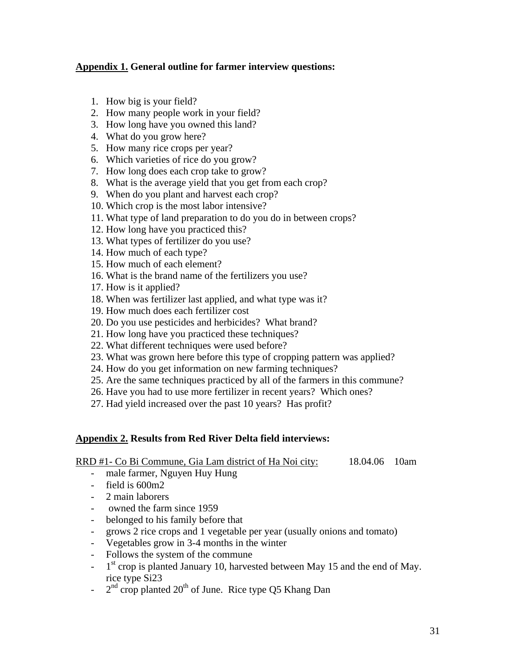## **Appendix 1. General outline for farmer interview questions:**

- 1. How big is your field?
- 2. How many people work in your field?
- 3. How long have you owned this land?
- 4. What do you grow here?
- 5. How many rice crops per year?
- 6. Which varieties of rice do you grow?
- 7. How long does each crop take to grow?
- 8. What is the average yield that you get from each crop?
- 9. When do you plant and harvest each crop?
- 10. Which crop is the most labor intensive?
- 11. What type of land preparation to do you do in between crops?
- 12. How long have you practiced this?
- 13. What types of fertilizer do you use?
- 14. How much of each type?
- 15. How much of each element?
- 16. What is the brand name of the fertilizers you use?
- 17. How is it applied?
- 18. When was fertilizer last applied, and what type was it?
- 19. How much does each fertilizer cost
- 20. Do you use pesticides and herbicides? What brand?
- 21. How long have you practiced these techniques?
- 22. What different techniques were used before?
- 23. What was grown here before this type of cropping pattern was applied?
- 24. How do you get information on new farming techniques?
- 25. Are the same techniques practiced by all of the farmers in this commune?
- 26. Have you had to use more fertilizer in recent years? Which ones?
- 27. Had yield increased over the past 10 years? Has profit?

## **Appendix 2. Results from Red River Delta field interviews:**

RRD #1- Co Bi Commune, Gia Lam district of Ha Noi city: 18.04.06 10am

- male farmer, Nguyen Huy Hung
- field is 600m2
- 2 main laborers
- owned the farm since 1959
- belonged to his family before that
- grows 2 rice crops and 1 vegetable per year (usually onions and tomato)
- Vegetables grow in 3-4 months in the winter
- Follows the system of the commune
- $-1$ <sup>st</sup> crop is planted January 10, harvested between May 15 and the end of May. rice type Si23
- $2<sup>nd</sup>$  crop planted  $20<sup>th</sup>$  of June. Rice type Q5 Khang Dan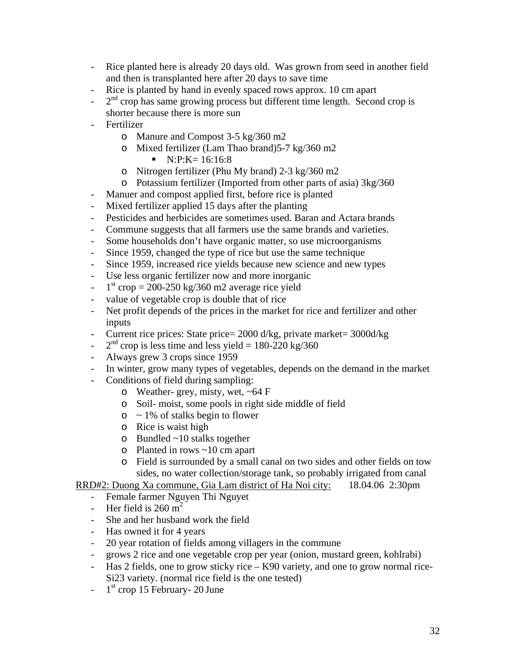- Rice planted here is already 20 days old. Was grown from seed in another field and then is transplanted here after 20 days to save time
- Rice is planted by hand in evenly spaced rows approx. 10 cm apart
- $-2<sup>nd</sup>$  crop has same growing process but different time length. Second crop is shorter because there is more sun
- **Fertilizer** 
	- o Manure and Compost 3-5 kg/360 m2
	- o Mixed fertilizer (Lam Thao brand)5-7 kg/360 m2
		- $\blacksquare$  N:P:K= 16:16:8
	- o Nitrogen fertilizer (Phu My brand) 2-3 kg/360 m2
	- o Potassium fertilizer (Imported from other parts of asia) 3kg/360
- Manuer and compost applied first, before rice is planted
- Mixed fertilizer applied 15 days after the planting
- Pesticides and herbicides are sometimes used. Baran and Actara brands
- Commune suggests that all farmers use the same brands and varieties.
- Some households don't have organic matter, so use microorganisms
- Since 1959, changed the type of rice but use the same technique
- Since 1959, increased rice yields because new science and new types
- Use less organic fertilizer now and more inorganic
- $1<sup>st</sup>$  crop = 200-250 kg/360 m2 average rice yield
- value of vegetable crop is double that of rice
- Net profit depends of the prices in the market for rice and fertilizer and other inputs
- Current rice prices: State price= 2000 d/kg, private market= 3000d/kg
- $2<sup>nd</sup>$  crop is less time and less yield = 180-220 kg/360
- Always grew 3 crops since 1959
- In winter, grow many types of vegetables, depends on the demand in the market
- Conditions of field during sampling:
	- o Weather- grey, misty, wet, ~64 F
	- o Soil- moist, some pools in right side middle of field
	- $\circ$  ~ 1% of stalks begin to flower
	- o Rice is waist high
	- o Bundled ~10 stalks together
	- o Planted in rows ~10 cm apart
	- o Field is surrounded by a small canal on two sides and other fields on tow sides, no water collection/storage tank, so probably irrigated from canal

RRD#2: Duong Xa commune, Gia Lam district of Ha Noi city: 18.04.06 2:30pm

- Female farmer Nguyen Thi Nguyet
- Her field is  $260 \text{ m}^2$
- She and her husband work the field
- Has owned it for 4 years
- 20 year rotation of fields among villagers in the commune
- grows 2 rice and one vegetable crop per year (onion, mustard green, kohlrabi)
- Has 2 fields, one to grow sticky rice K90 variety, and one to grow normal rice-Si23 variety. (normal rice field is the one tested)
- $-1$ <sup>st</sup> crop 15 February- 20 June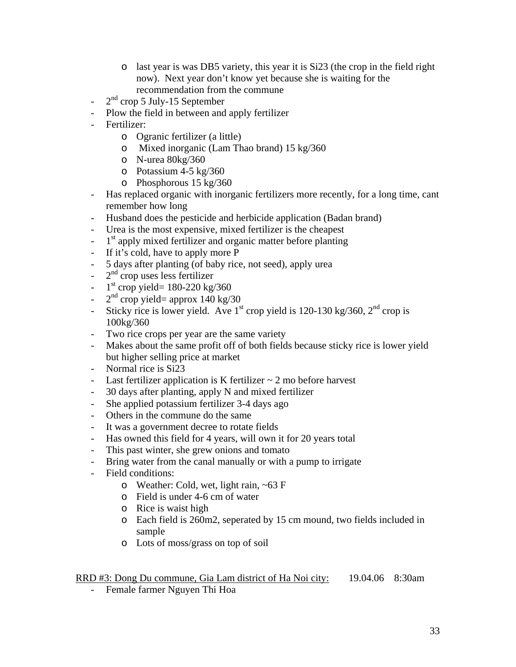- o last year is was DB5 variety, this year it is Si23 (the crop in the field right now). Next year don't know yet because she is waiting for the recommendation from the commune
- $2<sup>nd</sup>$  crop 5 July-15 September
- Plow the field in between and apply fertilizer
- Fertilizer:
	- o Ogranic fertilizer (a little)
	- o Mixed inorganic (Lam Thao brand) 15 kg/360
	- o N-urea 80kg/360
	- o Potassium 4-5 kg/360
	- o Phosphorous 15 kg/360
- Has replaced organic with inorganic fertilizers more recently, for a long time, cant remember how long
- Husband does the pesticide and herbicide application (Badan brand)
- Urea is the most expensive, mixed fertilizer is the cheapest
- $-1$ <sup>st</sup> apply mixed fertilizer and organic matter before planting
- If it's cold, have to apply more P
- 5 days after planting (of baby rice, not seed), apply urea
- $-2<sup>nd</sup>$  crop uses less fertilizer
- $-1$ <sup>st</sup> crop yield= 180-220 kg/360
- $2<sup>nd</sup>$  crop yield= approx 140 kg/30
- Sticky rice is lower yield. Ave 1<sup>st</sup> crop yield is 120-130 kg/360,  $2<sup>nd</sup>$  crop is 100kg/360
- Two rice crops per year are the same variety
- Makes about the same profit off of both fields because sticky rice is lower yield but higher selling price at market
- Normal rice is Si23
- Last fertilizer application is K fertilizer  $\sim$  2 mo before harvest
- 30 days after planting, apply N and mixed fertilizer
- She applied potassium fertilizer 3-4 days ago
- Others in the commune do the same
- It was a government decree to rotate fields
- Has owned this field for 4 years, will own it for 20 years total
- This past winter, she grew onions and tomato
- Bring water from the canal manually or with a pump to irrigate
- Field conditions:
	- o Weather: Cold, wet, light rain, ~63 F
	- o Field is under 4-6 cm of water
	- o Rice is waist high
	- o Each field is 260m2, seperated by 15 cm mound, two fields included in sample
	- o Lots of moss/grass on top of soil

# RRD #3: Dong Du commune, Gia Lam district of Ha Noi city: 19.04.06 8:30am

- Female farmer Nguyen Thi Hoa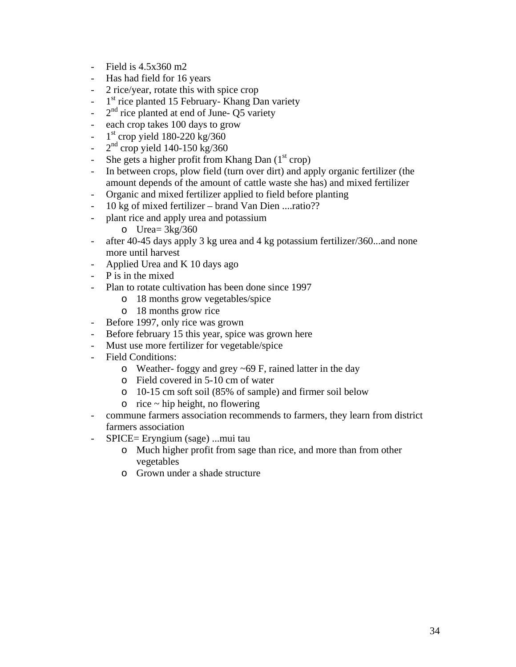- Field is 4.5x360 m2
- Has had field for 16 years
- 2 rice/year, rotate this with spice crop
- $-1$ <sup>st</sup> rice planted 15 February- Khang Dan variety
- $-2^{nd}$  rice planted at end of June- O5 variety
- each crop takes 100 days to grow
- $-1$ <sup>st</sup> crop yield 180-220 kg/360
- $2<sup>nd</sup>$  crop yield 140-150 kg/360
- She gets a higher profit from Khang Dan  $(1<sup>st</sup>$  crop)
- In between crops, plow field (turn over dirt) and apply organic fertilizer (the amount depends of the amount of cattle waste she has) and mixed fertilizer
- Organic and mixed fertilizer applied to field before planting
- 10 kg of mixed fertilizer brand Van Dien ....ratio??
	- plant rice and apply urea and potassium
		- o Urea=  $3kg/360$
- after 40-45 days apply 3 kg urea and 4 kg potassium fertilizer/360...and none more until harvest
- Applied Urea and K 10 days ago
- P is in the mixed
- Plan to rotate cultivation has been done since 1997
	- o 18 months grow vegetables/spice
	- o 18 months grow rice
- Before 1997, only rice was grown
- Before february 15 this year, spice was grown here
- Must use more fertilizer for vegetable/spice
- Field Conditions:
	- o Weather- foggy and grey ~69 F, rained latter in the day
	- o Field covered in 5-10 cm of water
	- o 10-15 cm soft soil (85% of sample) and firmer soil below
	- $\circ$  rice ~ hip height, no flowering
- commune farmers association recommends to farmers, they learn from district farmers association
- SPICE= Eryngium (sage) ...mui tau
	- o Much higher profit from sage than rice, and more than from other vegetables
	- o Grown under a shade structure